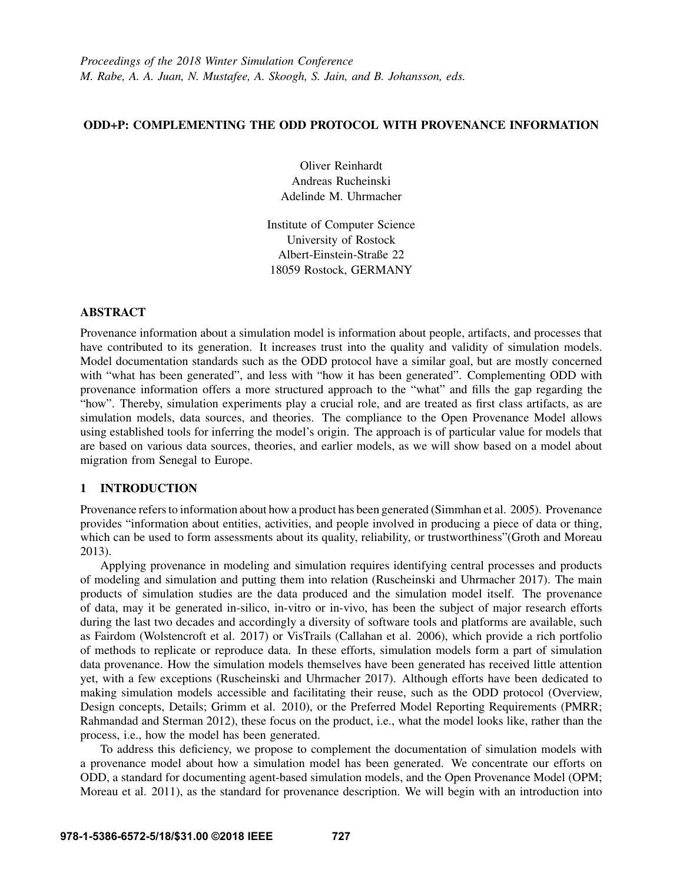# ODD+P: COMPLEMENTING THE ODD PROTOCOL WITH PROVENANCE INFORMATION

Oliver Reinhardt Andreas Rucheinski Adelinde M. Uhrmacher

Institute of Computer Science University of Rostock Albert-Einstein-Straße 22 18059 Rostock, GERMANY

# ABSTRACT

Provenance information about a simulation model is information about people, artifacts, and processes that have contributed to its generation. It increases trust into the quality and validity of simulation models. Model documentation standards such as the ODD protocol have a similar goal, but are mostly concerned with "what has been generated", and less with "how it has been generated". Complementing ODD with provenance information offers a more structured approach to the "what" and fills the gap regarding the "how". Thereby, simulation experiments play a crucial role, and are treated as first class artifacts, as are simulation models, data sources, and theories. The compliance to the Open Provenance Model allows using established tools for inferring the model's origin. The approach is of particular value for models that are based on various data sources, theories, and earlier models, as we will show based on a model about migration from Senegal to Europe.

# 1 INTRODUCTION

Provenance refers to information about how a product has been generated (Simmhan et al. 2005). Provenance provides "information about entities, activities, and people involved in producing a piece of data or thing, which can be used to form assessments about its quality, reliability, or trustworthiness"(Groth and Moreau 2013).

Applying provenance in modeling and simulation requires identifying central processes and products of modeling and simulation and putting them into relation (Ruscheinski and Uhrmacher 2017). The main products of simulation studies are the data produced and the simulation model itself. The provenance of data, may it be generated in-silico, in-vitro or in-vivo, has been the subject of major research efforts during the last two decades and accordingly a diversity of software tools and platforms are available, such as Fairdom (Wolstencroft et al. 2017) or VisTrails (Callahan et al. 2006), which provide a rich portfolio of methods to replicate or reproduce data. In these efforts, simulation models form a part of simulation data provenance. How the simulation models themselves have been generated has received little attention yet, with a few exceptions (Ruscheinski and Uhrmacher 2017). Although efforts have been dedicated to making simulation models accessible and facilitating their reuse, such as the ODD protocol (Overview, Design concepts, Details; Grimm et al. 2010), or the Preferred Model Reporting Requirements (PMRR; Rahmandad and Sterman 2012), these focus on the product, i.e., what the model looks like, rather than the process, i.e., how the model has been generated.

To address this deficiency, we propose to complement the documentation of simulation models with a provenance model about how a simulation model has been generated. We concentrate our efforts on ODD, a standard for documenting agent-based simulation models, and the Open Provenance Model (OPM; Moreau et al. 2011), as the standard for provenance description. We will begin with an introduction into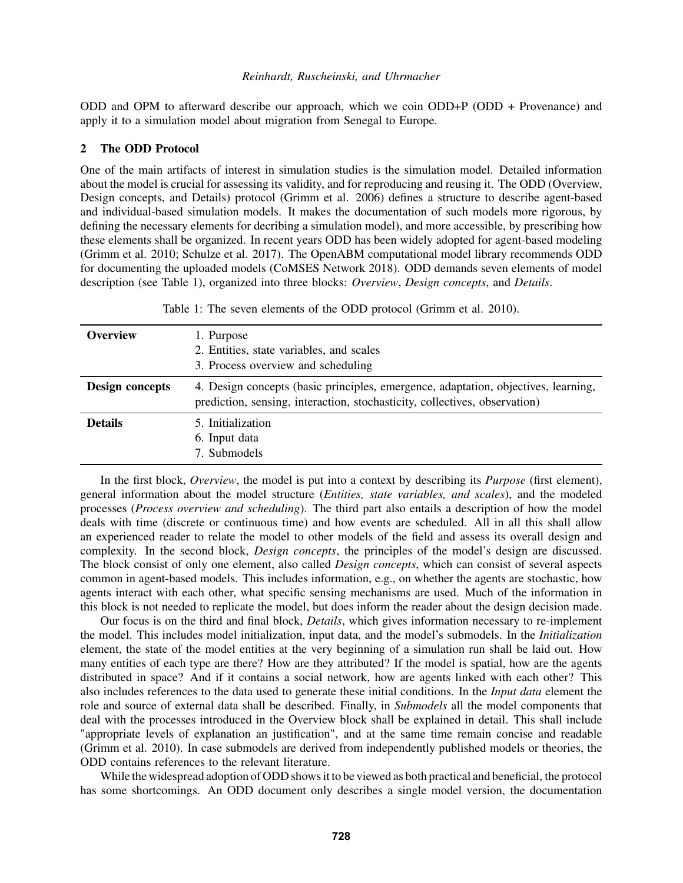ODD and OPM to afterward describe our approach, which we coin ODD+P (ODD + Provenance) and apply it to a simulation model about migration from Senegal to Europe.

## 2 The ODD Protocol

One of the main artifacts of interest in simulation studies is the simulation model. Detailed information about the model is crucial for assessing its validity, and for reproducing and reusing it. The ODD (Overview, Design concepts, and Details) protocol (Grimm et al. 2006) defines a structure to describe agent-based and individual-based simulation models. It makes the documentation of such models more rigorous, by defining the necessary elements for decribing a simulation model), and more accessible, by prescribing how these elements shall be organized. In recent years ODD has been widely adopted for agent-based modeling (Grimm et al. 2010; Schulze et al. 2017). The OpenABM computational model library recommends ODD for documenting the uploaded models (CoMSES Network 2018). ODD demands seven elements of model description (see Table 1), organized into three blocks: *Overview*, *Design concepts*, and *Details*.

| <b>Overview</b> | 1. Purpose                                                                                                                                                       |
|-----------------|------------------------------------------------------------------------------------------------------------------------------------------------------------------|
|                 | 2. Entities, state variables, and scales                                                                                                                         |
|                 | 3. Process overview and scheduling                                                                                                                               |
| Design concepts | 4. Design concepts (basic principles, emergence, adaptation, objectives, learning,<br>prediction, sensing, interaction, stochasticity, collectives, observation) |
| <b>Details</b>  | 5. Initialization<br>6. Input data<br>7. Submodels                                                                                                               |

Table 1: The seven elements of the ODD protocol (Grimm et al. 2010).

In the first block, *Overview*, the model is put into a context by describing its *Purpose* (first element), general information about the model structure (*Entities, state variables, and scales*), and the modeled processes (*Process overview and scheduling*). The third part also entails a description of how the model deals with time (discrete or continuous time) and how events are scheduled. All in all this shall allow an experienced reader to relate the model to other models of the field and assess its overall design and complexity. In the second block, *Design concepts*, the principles of the model's design are discussed. The block consist of only one element, also called *Design concepts*, which can consist of several aspects common in agent-based models. This includes information, e.g., on whether the agents are stochastic, how agents interact with each other, what specific sensing mechanisms are used. Much of the information in this block is not needed to replicate the model, but does inform the reader about the design decision made.

Our focus is on the third and final block, *Details*, which gives information necessary to re-implement the model. This includes model initialization, input data, and the model's submodels. In the *Initialization* element, the state of the model entities at the very beginning of a simulation run shall be laid out. How many entities of each type are there? How are they attributed? If the model is spatial, how are the agents distributed in space? And if it contains a social network, how are agents linked with each other? This also includes references to the data used to generate these initial conditions. In the *Input data* element the role and source of external data shall be described. Finally, in *Submodels* all the model components that deal with the processes introduced in the Overview block shall be explained in detail. This shall include "appropriate levels of explanation an justification", and at the same time remain concise and readable (Grimm et al. 2010). In case submodels are derived from independently published models or theories, the ODD contains references to the relevant literature.

While the widespread adoption of ODD shows it to be viewed as both practical and beneficial, the protocol has some shortcomings. An ODD document only describes a single model version, the documentation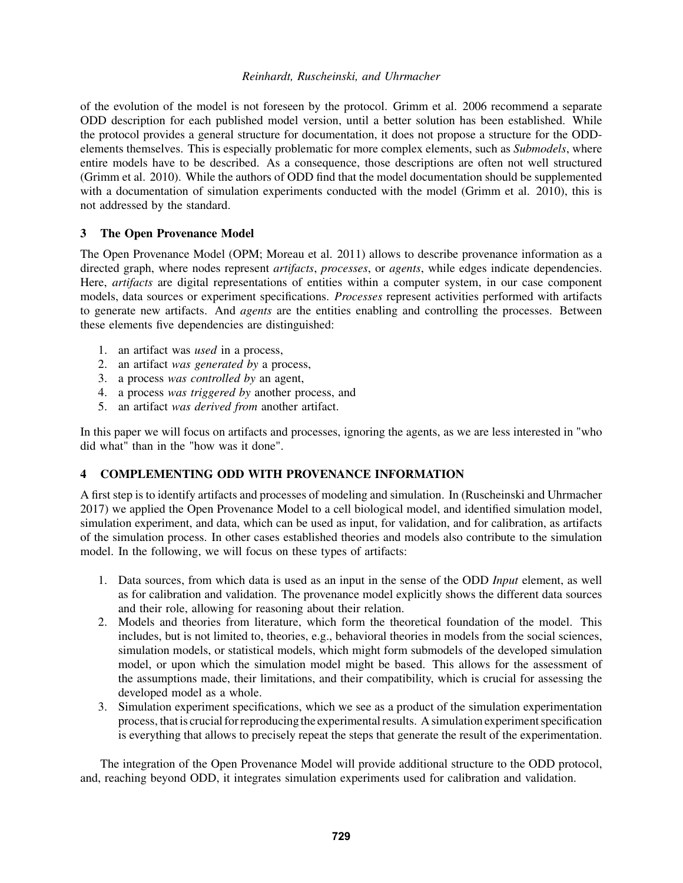of the evolution of the model is not foreseen by the protocol. Grimm et al. 2006 recommend a separate ODD description for each published model version, until a better solution has been established. While the protocol provides a general structure for documentation, it does not propose a structure for the ODDelements themselves. This is especially problematic for more complex elements, such as *Submodels*, where entire models have to be described. As a consequence, those descriptions are often not well structured (Grimm et al. 2010). While the authors of ODD find that the model documentation should be supplemented with a documentation of simulation experiments conducted with the model (Grimm et al. 2010), this is not addressed by the standard.

# 3 The Open Provenance Model

The Open Provenance Model (OPM; Moreau et al. 2011) allows to describe provenance information as a directed graph, where nodes represent *artifacts*, *processes*, or *agents*, while edges indicate dependencies. Here, *artifacts* are digital representations of entities within a computer system, in our case component models, data sources or experiment specifications. *Processes* represent activities performed with artifacts to generate new artifacts. And *agents* are the entities enabling and controlling the processes. Between these elements five dependencies are distinguished:

- 1. an artifact was *used* in a process,
- 2. an artifact *was generated by* a process,
- 3. a process *was controlled by* an agent,
- 4. a process *was triggered by* another process, and
- 5. an artifact *was derived from* another artifact.

In this paper we will focus on artifacts and processes, ignoring the agents, as we are less interested in "who did what" than in the "how was it done".

# 4 COMPLEMENTING ODD WITH PROVENANCE INFORMATION

A first step is to identify artifacts and processes of modeling and simulation. In (Ruscheinski and Uhrmacher 2017) we applied the Open Provenance Model to a cell biological model, and identified simulation model, simulation experiment, and data, which can be used as input, for validation, and for calibration, as artifacts of the simulation process. In other cases established theories and models also contribute to the simulation model. In the following, we will focus on these types of artifacts:

- 1. Data sources, from which data is used as an input in the sense of the ODD *Input* element, as well as for calibration and validation. The provenance model explicitly shows the different data sources and their role, allowing for reasoning about their relation.
- 2. Models and theories from literature, which form the theoretical foundation of the model. This includes, but is not limited to, theories, e.g., behavioral theories in models from the social sciences, simulation models, or statistical models, which might form submodels of the developed simulation model, or upon which the simulation model might be based. This allows for the assessment of the assumptions made, their limitations, and their compatibility, which is crucial for assessing the developed model as a whole.
- 3. Simulation experiment specifications, which we see as a product of the simulation experimentation process, that is crucial for reproducing the experimental results. A simulation experiment specification is everything that allows to precisely repeat the steps that generate the result of the experimentation.

The integration of the Open Provenance Model will provide additional structure to the ODD protocol, and, reaching beyond ODD, it integrates simulation experiments used for calibration and validation.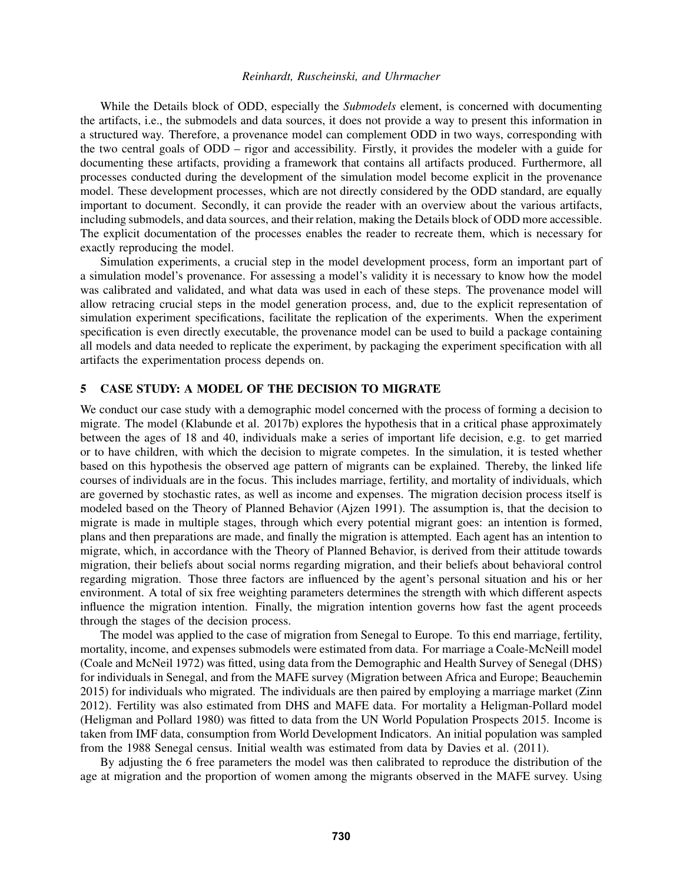While the Details block of ODD, especially the *Submodels* element, is concerned with documenting the artifacts, i.e., the submodels and data sources, it does not provide a way to present this information in a structured way. Therefore, a provenance model can complement ODD in two ways, corresponding with the two central goals of ODD – rigor and accessibility. Firstly, it provides the modeler with a guide for documenting these artifacts, providing a framework that contains all artifacts produced. Furthermore, all processes conducted during the development of the simulation model become explicit in the provenance model. These development processes, which are not directly considered by the ODD standard, are equally important to document. Secondly, it can provide the reader with an overview about the various artifacts, including submodels, and data sources, and their relation, making the Details block of ODD more accessible. The explicit documentation of the processes enables the reader to recreate them, which is necessary for exactly reproducing the model.

Simulation experiments, a crucial step in the model development process, form an important part of a simulation model's provenance. For assessing a model's validity it is necessary to know how the model was calibrated and validated, and what data was used in each of these steps. The provenance model will allow retracing crucial steps in the model generation process, and, due to the explicit representation of simulation experiment specifications, facilitate the replication of the experiments. When the experiment specification is even directly executable, the provenance model can be used to build a package containing all models and data needed to replicate the experiment, by packaging the experiment specification with all artifacts the experimentation process depends on.

## 5 CASE STUDY: A MODEL OF THE DECISION TO MIGRATE

We conduct our case study with a demographic model concerned with the process of forming a decision to migrate. The model (Klabunde et al. 2017b) explores the hypothesis that in a critical phase approximately between the ages of 18 and 40, individuals make a series of important life decision, e.g. to get married or to have children, with which the decision to migrate competes. In the simulation, it is tested whether based on this hypothesis the observed age pattern of migrants can be explained. Thereby, the linked life courses of individuals are in the focus. This includes marriage, fertility, and mortality of individuals, which are governed by stochastic rates, as well as income and expenses. The migration decision process itself is modeled based on the Theory of Planned Behavior (Ajzen 1991). The assumption is, that the decision to migrate is made in multiple stages, through which every potential migrant goes: an intention is formed, plans and then preparations are made, and finally the migration is attempted. Each agent has an intention to migrate, which, in accordance with the Theory of Planned Behavior, is derived from their attitude towards migration, their beliefs about social norms regarding migration, and their beliefs about behavioral control regarding migration. Those three factors are influenced by the agent's personal situation and his or her environment. A total of six free weighting parameters determines the strength with which different aspects influence the migration intention. Finally, the migration intention governs how fast the agent proceeds through the stages of the decision process.

The model was applied to the case of migration from Senegal to Europe. To this end marriage, fertility, mortality, income, and expenses submodels were estimated from data. For marriage a Coale-McNeill model (Coale and McNeil 1972) was fitted, using data from the Demographic and Health Survey of Senegal (DHS) for individuals in Senegal, and from the MAFE survey (Migration between Africa and Europe; Beauchemin 2015) for individuals who migrated. The individuals are then paired by employing a marriage market (Zinn 2012). Fertility was also estimated from DHS and MAFE data. For mortality a Heligman-Pollard model (Heligman and Pollard 1980) was fitted to data from the UN World Population Prospects 2015. Income is taken from IMF data, consumption from World Development Indicators. An initial population was sampled from the 1988 Senegal census. Initial wealth was estimated from data by Davies et al. (2011).

By adjusting the 6 free parameters the model was then calibrated to reproduce the distribution of the age at migration and the proportion of women among the migrants observed in the MAFE survey. Using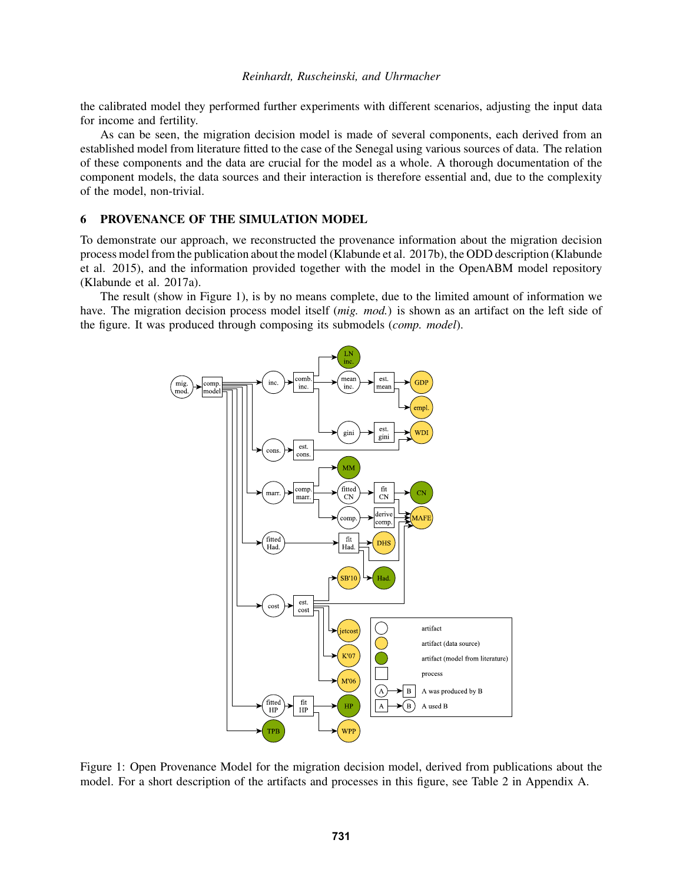the calibrated model they performed further experiments with different scenarios, adjusting the input data for income and fertility.

As can be seen, the migration decision model is made of several components, each derived from an established model from literature fitted to the case of the Senegal using various sources of data. The relation of these components and the data are crucial for the model as a whole. A thorough documentation of the component models, the data sources and their interaction is therefore essential and, due to the complexity of the model, non-trivial.

## 6 PROVENANCE OF THE SIMULATION MODEL

To demonstrate our approach, we reconstructed the provenance information about the migration decision process model from the publication about the model (Klabunde et al. 2017b), the ODD description (Klabunde et al. 2015), and the information provided together with the model in the OpenABM model repository (Klabunde et al. 2017a).

The result (show in Figure 1), is by no means complete, due to the limited amount of information we have. The migration decision process model itself *(mig. mod.)* is shown as an artifact on the left side of the figure. It was produced through composing its submodels (*comp. model*).



Figure 1: Open Provenance Model for the migration decision model, derived from publications about the model. For a short description of the artifacts and processes in this figure, see Table 2 in Appendix A.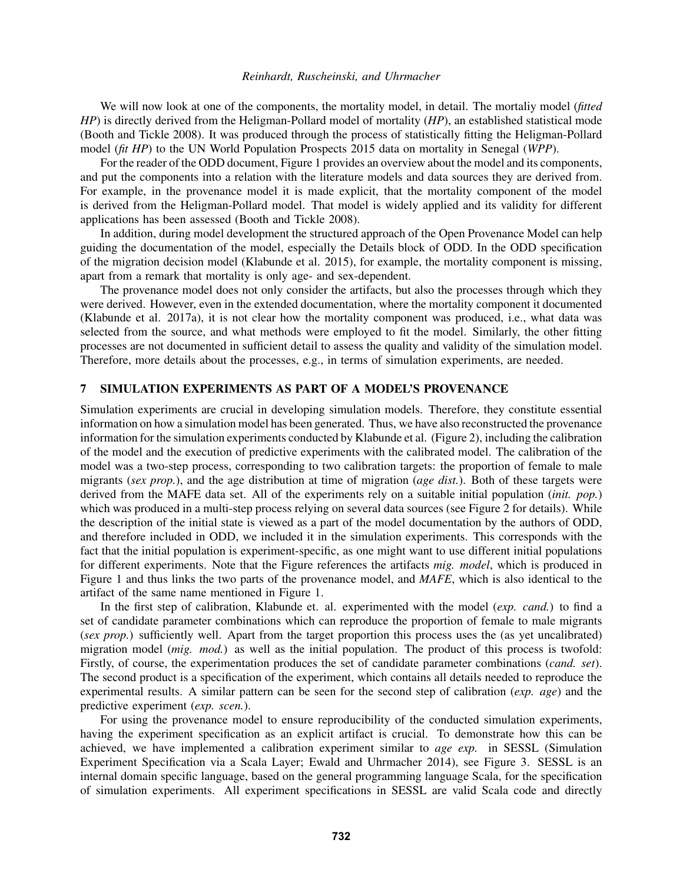We will now look at one of the components, the mortality model, in detail. The mortaliy model (*fitted HP*) is directly derived from the Heligman-Pollard model of mortality (*HP*), an established statistical mode (Booth and Tickle 2008). It was produced through the process of statistically fitting the Heligman-Pollard model (*fit HP*) to the UN World Population Prospects 2015 data on mortality in Senegal (*WPP*).

For the reader of the ODD document, Figure 1 provides an overview about the model and its components, and put the components into a relation with the literature models and data sources they are derived from. For example, in the provenance model it is made explicit, that the mortality component of the model is derived from the Heligman-Pollard model. That model is widely applied and its validity for different applications has been assessed (Booth and Tickle 2008).

In addition, during model development the structured approach of the Open Provenance Model can help guiding the documentation of the model, especially the Details block of ODD. In the ODD specification of the migration decision model (Klabunde et al. 2015), for example, the mortality component is missing, apart from a remark that mortality is only age- and sex-dependent.

The provenance model does not only consider the artifacts, but also the processes through which they were derived. However, even in the extended documentation, where the mortality component it documented (Klabunde et al. 2017a), it is not clear how the mortality component was produced, i.e., what data was selected from the source, and what methods were employed to fit the model. Similarly, the other fitting processes are not documented in sufficient detail to assess the quality and validity of the simulation model. Therefore, more details about the processes, e.g., in terms of simulation experiments, are needed.

## 7 SIMULATION EXPERIMENTS AS PART OF A MODEL'S PROVENANCE

Simulation experiments are crucial in developing simulation models. Therefore, they constitute essential information on how a simulation model has been generated. Thus, we have also reconstructed the provenance information for the simulation experiments conducted by Klabunde et al. (Figure 2), including the calibration of the model and the execution of predictive experiments with the calibrated model. The calibration of the model was a two-step process, corresponding to two calibration targets: the proportion of female to male migrants (*sex prop.*), and the age distribution at time of migration (*age dist.*). Both of these targets were derived from the MAFE data set. All of the experiments rely on a suitable initial population (*init. pop.*) which was produced in a multi-step process relying on several data sources (see Figure 2 for details). While the description of the initial state is viewed as a part of the model documentation by the authors of ODD, and therefore included in ODD, we included it in the simulation experiments. This corresponds with the fact that the initial population is experiment-specific, as one might want to use different initial populations for different experiments. Note that the Figure references the artifacts *mig. model*, which is produced in Figure 1 and thus links the two parts of the provenance model, and *MAFE*, which is also identical to the artifact of the same name mentioned in Figure 1.

In the first step of calibration, Klabunde et. al. experimented with the model (*exp. cand.*) to find a set of candidate parameter combinations which can reproduce the proportion of female to male migrants (*sex prop.*) sufficiently well. Apart from the target proportion this process uses the (as yet uncalibrated) migration model (*mig. mod.*) as well as the initial population. The product of this process is twofold: Firstly, of course, the experimentation produces the set of candidate parameter combinations (*cand. set*). The second product is a specification of the experiment, which contains all details needed to reproduce the experimental results. A similar pattern can be seen for the second step of calibration (*exp. age*) and the predictive experiment (*exp. scen.*).

For using the provenance model to ensure reproducibility of the conducted simulation experiments, having the experiment specification as an explicit artifact is crucial. To demonstrate how this can be achieved, we have implemented a calibration experiment similar to *age exp.* in SESSL (Simulation Experiment Specification via a Scala Layer; Ewald and Uhrmacher 2014), see Figure 3. SESSL is an internal domain specific language, based on the general programming language Scala, for the specification of simulation experiments. All experiment specifications in SESSL are valid Scala code and directly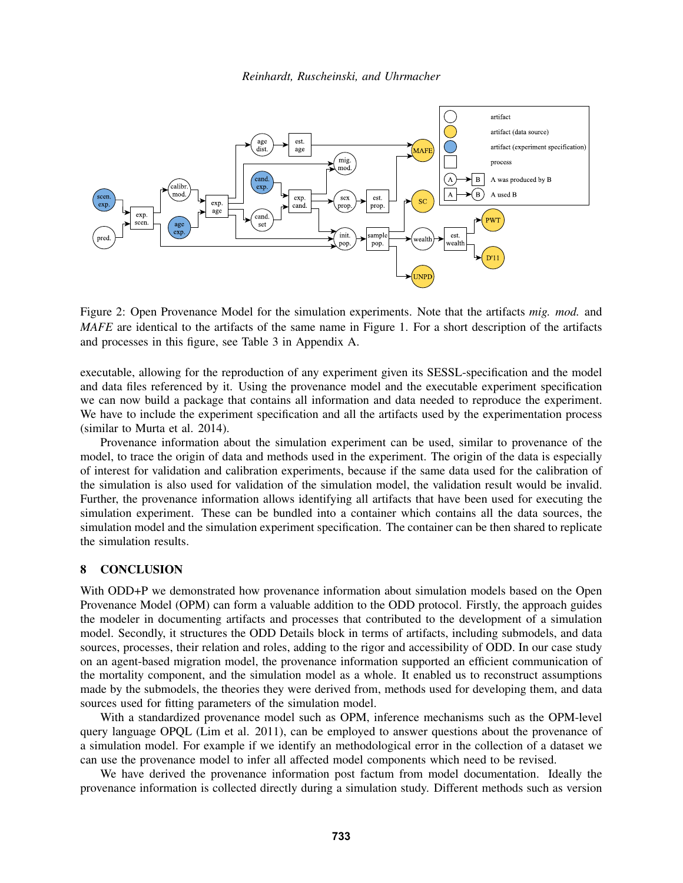

Figure 2: Open Provenance Model for the simulation experiments. Note that the artifacts *mig. mod.* and *MAFE* are identical to the artifacts of the same name in Figure 1. For a short description of the artifacts and processes in this figure, see Table 3 in Appendix A.

executable, allowing for the reproduction of any experiment given its SESSL-specification and the model and data files referenced by it. Using the provenance model and the executable experiment specification we can now build a package that contains all information and data needed to reproduce the experiment. We have to include the experiment specification and all the artifacts used by the experimentation process (similar to Murta et al. 2014).

Provenance information about the simulation experiment can be used, similar to provenance of the model, to trace the origin of data and methods used in the experiment. The origin of the data is especially of interest for validation and calibration experiments, because if the same data used for the calibration of the simulation is also used for validation of the simulation model, the validation result would be invalid. Further, the provenance information allows identifying all artifacts that have been used for executing the simulation experiment. These can be bundled into a container which contains all the data sources, the simulation model and the simulation experiment specification. The container can be then shared to replicate the simulation results.

## 8 CONCLUSION

With ODD+P we demonstrated how provenance information about simulation models based on the Open Provenance Model (OPM) can form a valuable addition to the ODD protocol. Firstly, the approach guides the modeler in documenting artifacts and processes that contributed to the development of a simulation model. Secondly, it structures the ODD Details block in terms of artifacts, including submodels, and data sources, processes, their relation and roles, adding to the rigor and accessibility of ODD. In our case study on an agent-based migration model, the provenance information supported an efficient communication of the mortality component, and the simulation model as a whole. It enabled us to reconstruct assumptions made by the submodels, the theories they were derived from, methods used for developing them, and data sources used for fitting parameters of the simulation model.

With a standardized provenance model such as OPM, inference mechanisms such as the OPM-level query language OPQL (Lim et al. 2011), can be employed to answer questions about the provenance of a simulation model. For example if we identify an methodological error in the collection of a dataset we can use the provenance model to infer all affected model components which need to be revised.

We have derived the provenance information post factum from model documentation. Ideally the provenance information is collected directly during a simulation study. Different methods such as version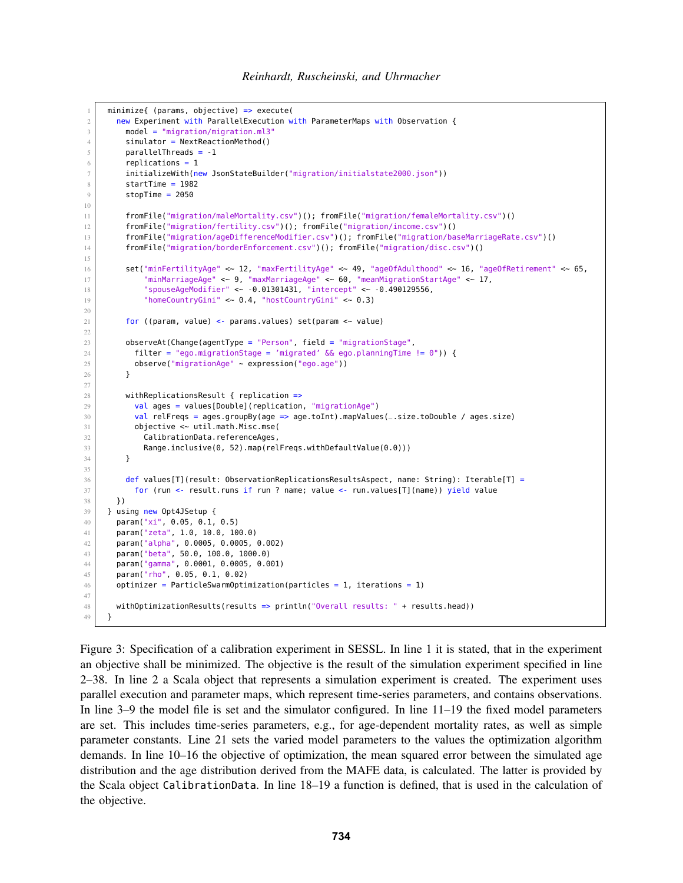```
minimize{ (params, objective) => execute(
2 new Experiment with ParallelExecution with ParameterMaps with Observation {
3 model = "migration/migration.ml3"
4 simulator = NextReactionMethod()
5 parallelThreads = -16 \mid replications = 1
7 initializeWith(new JsonStateBuilder("migration/initialstate2000.json"))
8 startTime = 1982
9 stopTime = 2050
10
11 fromFile("migration/maleMortality.csv")(); fromFile("migration/femaleMortality.csv")()
12 fromFile("migration/fertility.csv")(); fromFile("migration/income.csv")()
13 fromFile("migration/ageDifferenceModifier.csv")(); fromFile("migration/baseMarriageRate.csv")()
14 fromFile("migration/borderEnforcement.csv")(); fromFile("migration/disc.csv")()
15
16 \vert set("minFertilityAge" <~ 12, "maxFertilityAge" <~ 49, "ageOfAdulthood" <~ 16, "ageOfRetirement" <~ 65,
17 "minMarriageAge" <~ 9, "maxMarriageAge" <~ 60, "meanMigrationStartAge" <~ 17,
18 \vert "spouseAqeModifier" <\sim -0.01301431, "intercept" <\sim -0.490129556,
19 \vert "homeCountryGini" < 0.4, "hostCountryGini" < 0.3)
20
21 for ((param, value) <- params.values) set(param <~ value)
22
23 observeAt(Change(agentType = "Person", field = "migrationStage",
24 filter = "ego.migrationStage = 'migrated' \& ego.planningTime != 0")) {
25 observe("migrationAge" \sim expression("ego.age"))
26 }
27
28 withReplicationsResult { replication =>
29 val ages = values[Double](replication, "migrationAge")
30 val relFreqs = ages.groupBy(age => age.toInt).mapValues(\angle.size.toDouble / ages.size)
31 objective \leq util.math.Misc.mse(
32 CalibrationData.referenceAges,
33 Range.inclusive(0, 52).map(relFreqs.withDefaultValue(0.0)))
34 }
35
36 def values[T](result: ObservationReplicationsResultsAspect, name: String): Iterable[T] =
37 for (run <- result.runs if run ? name; value <- run.values[T](name)) yield value
38 })
39 } using new Opt4JSetup {
40 param("xi", 0.05, 0.1, 0.5)
41 param("zeta", 1.0, 10.0, 100.0)
42 param("alpha", 0.0005, 0.0005, 0.002)
43 param("beta", 50.0, 100.0, 1000.0)
44 param("gamma", 0.0001, 0.0005, 0.001)
45 | param("rho", 0.05, 0.1, 0.02)
46 optimizer = ParticleSwarmOptimization(particles = 1, iterations = 1)
47
48 withOptimizationResults(results => println("Overall results: " + results.head))
49 }
```
Figure 3: Specification of a calibration experiment in SESSL. In line 1 it is stated, that in the experiment an objective shall be minimized. The objective is the result of the simulation experiment specified in line 2–38. In line 2 a Scala object that represents a simulation experiment is created. The experiment uses parallel execution and parameter maps, which represent time-series parameters, and contains observations. In line 3–9 the model file is set and the simulator configured. In line 11–19 the fixed model parameters are set. This includes time-series parameters, e.g., for age-dependent mortality rates, as well as simple parameter constants. Line 21 sets the varied model parameters to the values the optimization algorithm demands. In line 10–16 the objective of optimization, the mean squared error between the simulated age distribution and the age distribution derived from the MAFE data, is calculated. The latter is provided by the Scala object CalibrationData. In line 18–19 a function is defined, that is used in the calculation of the objective.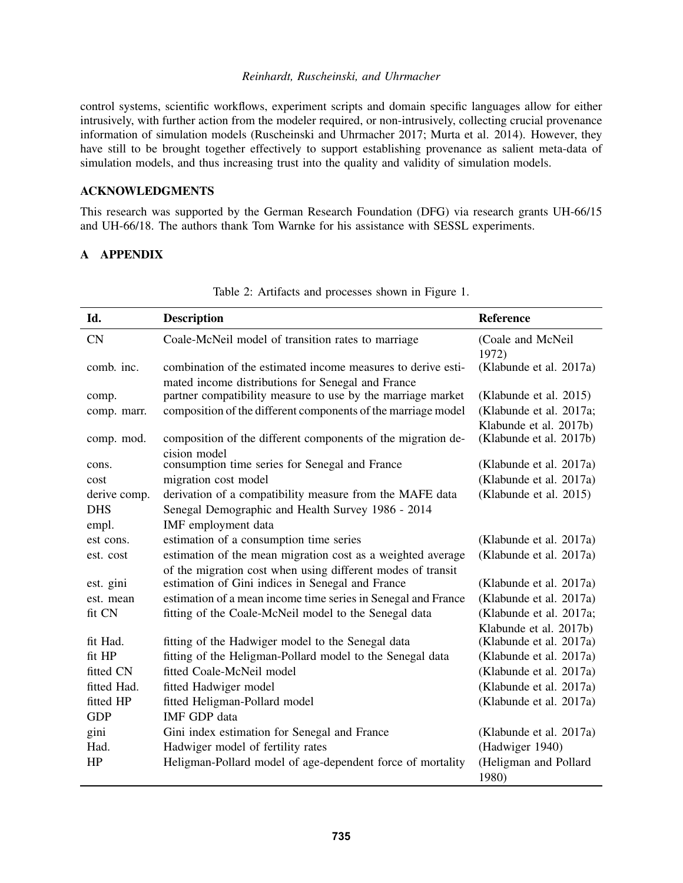control systems, scientific workflows, experiment scripts and domain specific languages allow for either intrusively, with further action from the modeler required, or non-intrusively, collecting crucial provenance information of simulation models (Ruscheinski and Uhrmacher 2017; Murta et al. 2014). However, they have still to be brought together effectively to support establishing provenance as salient meta-data of simulation models, and thus increasing trust into the quality and validity of simulation models.

# ACKNOWLEDGMENTS

This research was supported by the German Research Foundation (DFG) via research grants UH-66/15 and UH-66/18. The authors thank Tom Warnke for his assistance with SESSL experiments.

# A APPENDIX

| Id.          | <b>Description</b>                                            | Reference               |
|--------------|---------------------------------------------------------------|-------------------------|
| <b>CN</b>    | Coale-McNeil model of transition rates to marriage            | (Coale and McNeil       |
|              |                                                               | 1972)                   |
| comb. inc.   | combination of the estimated income measures to derive esti-  | (Klabunde et al. 2017a) |
|              | mated income distributions for Senegal and France             |                         |
| comp.        | partner compatibility measure to use by the marriage market   | (Klabunde et al. 2015)  |
| comp. marr.  | composition of the different components of the marriage model | (Klabunde et al. 2017a; |
|              |                                                               | Klabunde et al. 2017b)  |
| comp. mod.   | composition of the different components of the migration de-  | (Klabunde et al. 2017b) |
|              | cision model                                                  |                         |
| cons.        | consumption time series for Senegal and France                | (Klabunde et al. 2017a) |
| cost         | migration cost model                                          | (Klabunde et al. 2017a) |
| derive comp. | derivation of a compatibility measure from the MAFE data      | (Klabunde et al. 2015)  |
| <b>DHS</b>   | Senegal Demographic and Health Survey 1986 - 2014             |                         |
| empl.        | IMF employment data                                           |                         |
| est cons.    | estimation of a consumption time series                       | (Klabunde et al. 2017a) |
| est. cost    | estimation of the mean migration cost as a weighted average   | (Klabunde et al. 2017a) |
|              | of the migration cost when using different modes of transit   |                         |
| est. gini    | estimation of Gini indices in Senegal and France              | (Klabunde et al. 2017a) |
| est. mean    | estimation of a mean income time series in Senegal and France | (Klabunde et al. 2017a) |
| fit CN       | fitting of the Coale-McNeil model to the Senegal data         | (Klabunde et al. 2017a; |
|              |                                                               | Klabunde et al. 2017b)  |
| fit Had.     | fitting of the Hadwiger model to the Senegal data             | (Klabunde et al. 2017a) |
| fit HP       | fitting of the Heligman-Pollard model to the Senegal data     | (Klabunde et al. 2017a) |
| fitted CN    | fitted Coale-McNeil model                                     | (Klabunde et al. 2017a) |
| fitted Had.  | fitted Hadwiger model                                         | (Klabunde et al. 2017a) |
| fitted HP    | fitted Heligman-Pollard model                                 | (Klabunde et al. 2017a) |
| <b>GDP</b>   | <b>IMF GDP</b> data                                           |                         |
| gini         | Gini index estimation for Senegal and France                  | (Klabunde et al. 2017a) |
| Had.         | Hadwiger model of fertility rates                             | (Hadwiger 1940)         |
| HP           | Heligman-Pollard model of age-dependent force of mortality    | (Heligman and Pollard   |
|              |                                                               | 1980)                   |

# Table 2: Artifacts and processes shown in Figure 1.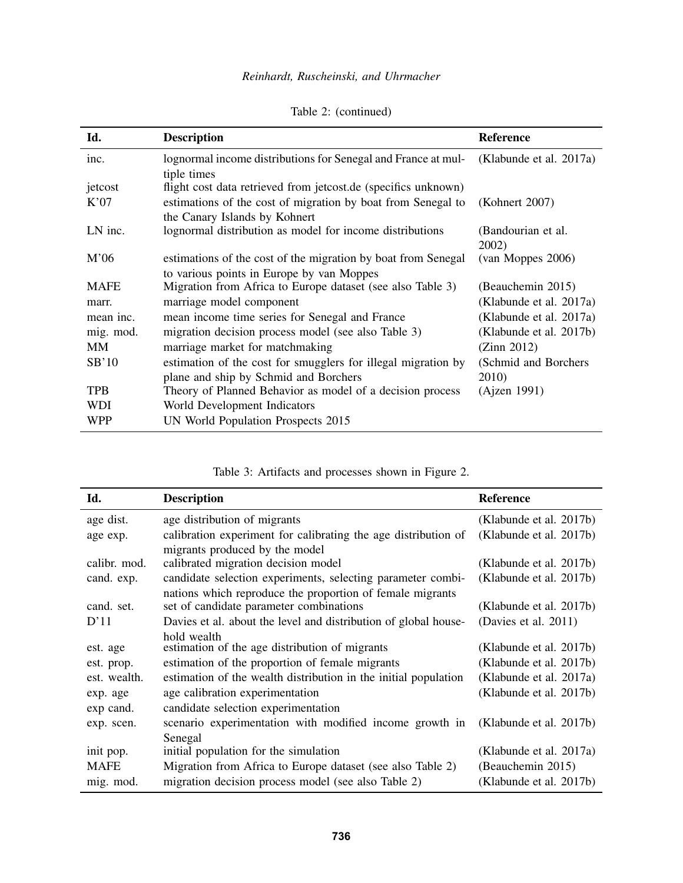| <b>Description</b>                                            | Reference                                                                                                                                                                                                                                                                                                                          |
|---------------------------------------------------------------|------------------------------------------------------------------------------------------------------------------------------------------------------------------------------------------------------------------------------------------------------------------------------------------------------------------------------------|
| lognormal income distributions for Senegal and France at mul- | (Klabunde et al. 2017a)                                                                                                                                                                                                                                                                                                            |
| tiple times                                                   |                                                                                                                                                                                                                                                                                                                                    |
|                                                               |                                                                                                                                                                                                                                                                                                                                    |
| estimations of the cost of migration by boat from Senegal to  | (Kohnert 2007)                                                                                                                                                                                                                                                                                                                     |
| the Canary Islands by Kohnert                                 |                                                                                                                                                                                                                                                                                                                                    |
|                                                               | (Bandourian et al.                                                                                                                                                                                                                                                                                                                 |
|                                                               | 2002)                                                                                                                                                                                                                                                                                                                              |
|                                                               | (van Moppes 2006)                                                                                                                                                                                                                                                                                                                  |
| to various points in Europe by van Moppes                     |                                                                                                                                                                                                                                                                                                                                    |
|                                                               | (Beauchemin 2015)                                                                                                                                                                                                                                                                                                                  |
| marriage model component                                      | (Klabunde et al. 2017a)                                                                                                                                                                                                                                                                                                            |
| mean income time series for Senegal and France                | (Klabunde et al. 2017a)                                                                                                                                                                                                                                                                                                            |
| migration decision process model (see also Table 3)           | (Klabunde et al. 2017b)                                                                                                                                                                                                                                                                                                            |
| marriage market for matchmaking                               | (Zinn 2012)                                                                                                                                                                                                                                                                                                                        |
| estimation of the cost for smugglers for illegal migration by | (Schmid and Borchers)                                                                                                                                                                                                                                                                                                              |
|                                                               | 2010)                                                                                                                                                                                                                                                                                                                              |
| Theory of Planned Behavior as model of a decision process     | (Ajzen 1991)                                                                                                                                                                                                                                                                                                                       |
|                                                               |                                                                                                                                                                                                                                                                                                                                    |
| UN World Population Prospects 2015                            |                                                                                                                                                                                                                                                                                                                                    |
|                                                               | flight cost data retrieved from jetcost.de (specifics unknown)<br>lognormal distribution as model for income distributions<br>estimations of the cost of the migration by boat from Senegal<br>Migration from Africa to Europe dataset (see also Table 3)<br>plane and ship by Schmid and Borchers<br>World Development Indicators |

# Table 2: (continued)

Table 3: Artifacts and processes shown in Figure 2.

| Id.          | <b>Description</b>                                              | <b>Reference</b>        |
|--------------|-----------------------------------------------------------------|-------------------------|
| age dist.    | age distribution of migrants                                    | (Klabunde et al. 2017b) |
| age exp.     | calibration experiment for calibrating the age distribution of  | (Klabunde et al. 2017b) |
|              | migrants produced by the model                                  |                         |
| calibr. mod. | calibrated migration decision model                             | (Klabunde et al. 2017b) |
| cand. exp.   | candidate selection experiments, selecting parameter combi-     | (Klabunde et al. 2017b) |
|              | nations which reproduce the proportion of female migrants       |                         |
| cand. set.   | set of candidate parameter combinations                         | (Klabunde et al. 2017b) |
| D'11         | Davies et al. about the level and distribution of global house- | (Davies et al. 2011)    |
|              | hold wealth                                                     |                         |
| est. age     | estimation of the age distribution of migrants                  | (Klabunde et al. 2017b) |
| est. prop.   | estimation of the proportion of female migrants                 | (Klabunde et al. 2017b) |
| est. wealth. | estimation of the wealth distribution in the initial population | (Klabunde et al. 2017a) |
| exp. age     | age calibration experimentation                                 | (Klabunde et al. 2017b) |
| exp cand.    | candidate selection experimentation                             |                         |
| exp. scen.   | scenario experimentation with modified income growth in         | (Klabunde et al. 2017b) |
|              | Senegal                                                         |                         |
| init pop.    | initial population for the simulation                           | (Klabunde et al. 2017a) |
| <b>MAFE</b>  | Migration from Africa to Europe dataset (see also Table 2)      | (Beauchemin 2015)       |
| mig. mod.    | migration decision process model (see also Table 2)             | (Klabunde et al. 2017b) |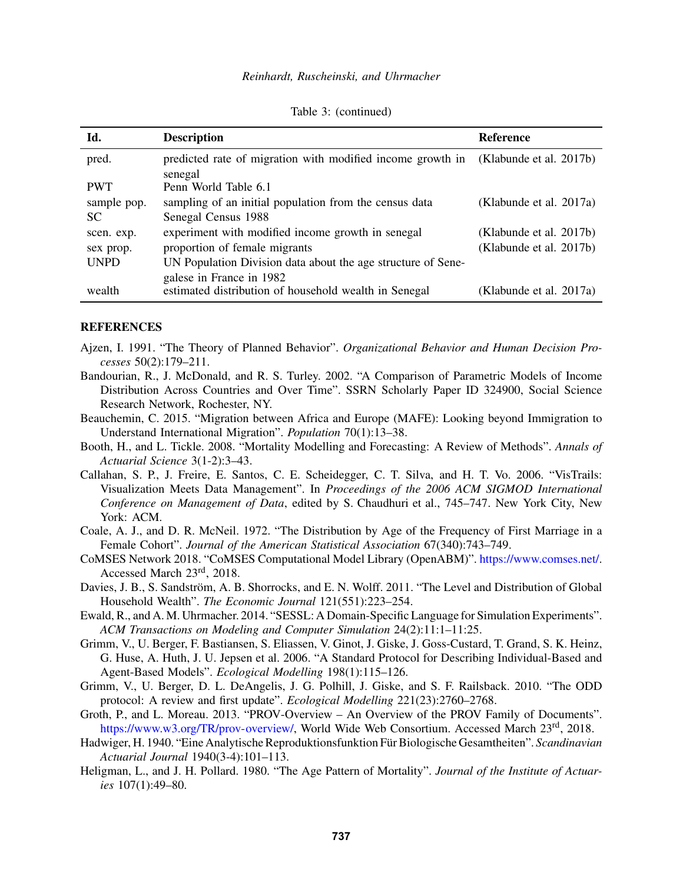| Id.         | <b>Description</b>                                                                 | <b>Reference</b>        |
|-------------|------------------------------------------------------------------------------------|-------------------------|
| pred.       | predicted rate of migration with modified income growth in (Klabunde et al. 2017b) |                         |
|             | senegal                                                                            |                         |
| <b>PWT</b>  | Penn World Table 6.1                                                               |                         |
| sample pop. | sampling of an initial population from the census data                             | (Klabunde et al. 2017a) |
| SC.         | Senegal Census 1988                                                                |                         |
| scen. exp.  | experiment with modified income growth in senegal                                  | (Klabunde et al. 2017b) |
| sex prop.   | proportion of female migrants                                                      | (Klabunde et al. 2017b) |
| <b>UNPD</b> | UN Population Division data about the age structure of Sene-                       |                         |
|             | galese in France in 1982                                                           |                         |
| wealth      | estimated distribution of household wealth in Senegal                              | (Klabunde et al. 2017a) |

Table 3: (continued)

#### **REFERENCES**

- Ajzen, I. 1991. "The Theory of Planned Behavior". *Organizational Behavior and Human Decision Processes* 50(2):179–211.
- Bandourian, R., J. McDonald, and R. S. Turley. 2002. "A Comparison of Parametric Models of Income Distribution Across Countries and Over Time". SSRN Scholarly Paper ID 324900, Social Science Research Network, Rochester, NY.
- Beauchemin, C. 2015. "Migration between Africa and Europe (MAFE): Looking beyond Immigration to Understand International Migration". *Population* 70(1):13–38.
- Booth, H., and L. Tickle. 2008. "Mortality Modelling and Forecasting: A Review of Methods". *Annals of Actuarial Science* 3(1-2):3–43.
- Callahan, S. P., J. Freire, E. Santos, C. E. Scheidegger, C. T. Silva, and H. T. Vo. 2006. "VisTrails: Visualization Meets Data Management". In *Proceedings of the 2006 ACM SIGMOD International Conference on Management of Data*, edited by S. Chaudhuri et al., 745–747. New York City, New York: ACM.
- Coale, A. J., and D. R. McNeil. 1972. "The Distribution by Age of the Frequency of First Marriage in a Female Cohort". *Journal of the American Statistical Association* 67(340):743–749.
- CoMSES Network 2018. "CoMSES Computational Model Library (OpenABM)". https://www.comses.net/. Accessed March 23rd, 2018.
- Davies, J. B., S. Sandström, A. B. Shorrocks, and E. N. Wolff. 2011. "The Level and Distribution of Global Household Wealth". *The Economic Journal* 121(551):223–254.
- Ewald, R., and A. M. Uhrmacher. 2014. "SESSL: A Domain-Specific Language for Simulation Experiments". *ACM Transactions on Modeling and Computer Simulation* 24(2):11:1–11:25.
- Grimm, V., U. Berger, F. Bastiansen, S. Eliassen, V. Ginot, J. Giske, J. Goss-Custard, T. Grand, S. K. Heinz, G. Huse, A. Huth, J. U. Jepsen et al. 2006. "A Standard Protocol for Describing Individual-Based and Agent-Based Models". *Ecological Modelling* 198(1):115–126.
- Grimm, V., U. Berger, D. L. DeAngelis, J. G. Polhill, J. Giske, and S. F. Railsback. 2010. "The ODD protocol: A review and first update". *Ecological Modelling* 221(23):2760–2768.
- Groth, P., and L. Moreau. 2013. "PROV-Overview An Overview of the PROV Family of Documents". https://www.w3.org/TR/prov-overview/, World Wide Web Consortium. Accessed March 23<sup>rd</sup>, 2018.
- Hadwiger, H. 1940. "Eine Analytische Reproduktionsfunktion Für Biologische Gesamtheiten". *Scandinavian Actuarial Journal* 1940(3-4):101–113.
- Heligman, L., and J. H. Pollard. 1980. "The Age Pattern of Mortality". *Journal of the Institute of Actuaries* 107(1):49–80.